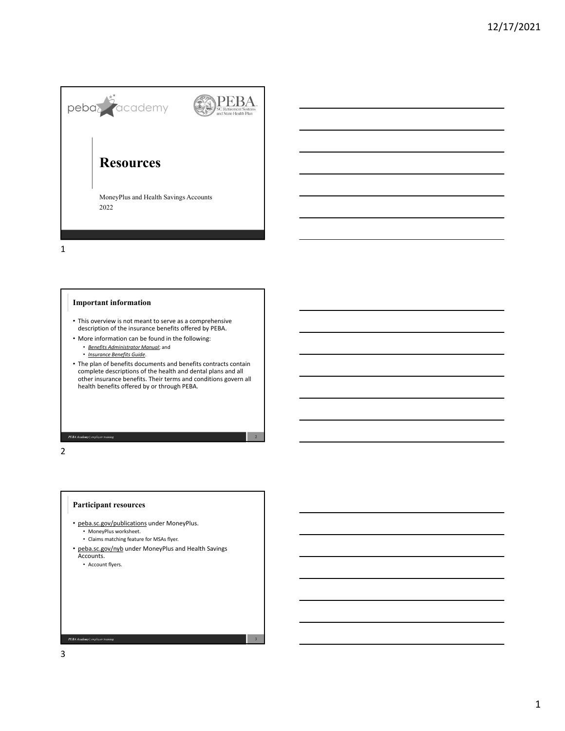

1

# **Important information**

- This overview is not meant to serve as a comprehensive description of the insurance benefits offered by PEBA.
- More information can be found in the following:
	- *Benefits Administrator Manual*; and
	- *Insurance Benefits Guide*.
- The plan of benefits documents and benefits contracts contain complete descriptions of the health and dental plans and all other insurance benefits. Their terms and conditions govern all health benefits offered by or through PEBA.

2

3

2

### **Participant resources**

**PEBA Academy** | employer training

- peba.sc.gov/publications under MoneyPlus. • MoneyPlus worksheet.
	- Claims matching feature for MSAs flyer.
- peba.sc.gov/nyb under MoneyPlus and Health Savings<br>Accounts.
	- Account flyers.

3

PEBA Academy | employer train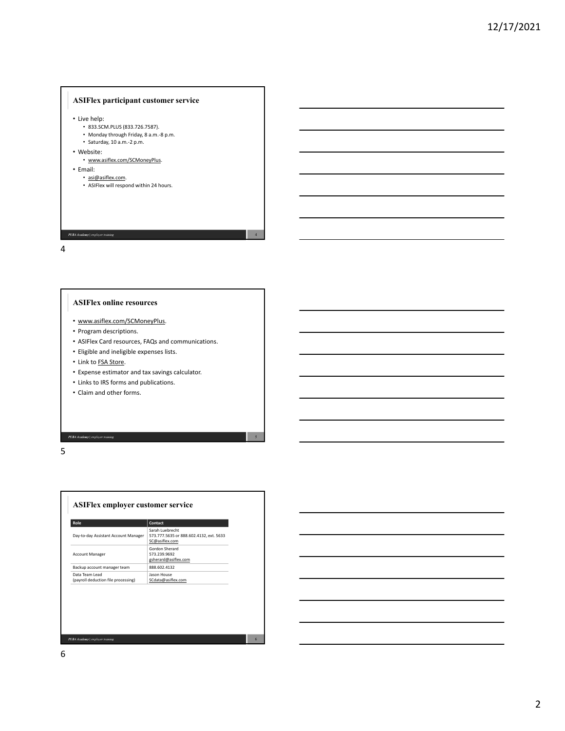# **ASIFlex participant customer service**

• Live help:

- 833.SCM.PLUS (833.726.7587).
- Monday through Friday, 8 a.m.‐8 p.m.
- Saturday, 10 a.m. 2 p.m.
- Website:
	- www.asiflex.com/SCMoneyPlus.
- Email:
- asi@asiflex.com.
	- ASIFlex will respond within 24 hours.

PEBA Academy | employer train

4

#### **ASIFlex online resources**

- www.asiflex.com/SCMoneyPlus.
- Program descriptions.
- ASIFlex Card resources, FAQs and communications.

4

5

- Eligible and ineligible expenses lists.
- Link to FSA Store.

**PEBA Academy** | employer training

- Expense estimator and tax savings calculator.
- Links to IRS forms and publications.
- Claim and other forms.

5

| Role                                                  | Contact                                                                      |  |
|-------------------------------------------------------|------------------------------------------------------------------------------|--|
| Day-to-day Assistant Account Manager                  | Sarah Luebrecht<br>573.777.5635 or 888.602.4132, ext. 5633<br>SC@asiflex.com |  |
| <b>Account Manager</b>                                | Gordon Sherard<br>573.239.9692<br>gsherard@asiflex.com                       |  |
| Backup account manager team                           | 888.602.4132                                                                 |  |
| Data Team Lead<br>(payroll deduction file processing) | Jason House<br>SCdata@asiflex.com                                            |  |
|                                                       |                                                                              |  |
|                                                       |                                                                              |  |

6